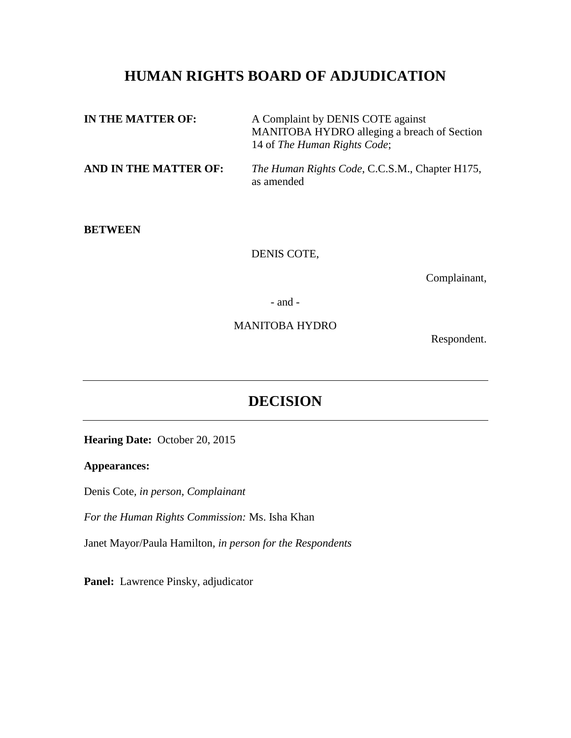# **HUMAN RIGHTS BOARD OF ADJUDICATION**

| IN THE MATTER OF:     | A Complaint by DENIS COTE against<br>MANITOBA HYDRO alleging a breach of Section<br>14 of The Human Rights Code; |
|-----------------------|------------------------------------------------------------------------------------------------------------------|
| AND IN THE MATTER OF: | <i>The Human Rights Code, C.C.S.M., Chapter H175,</i><br>as amended                                              |

#### **BETWEEN**

DENIS COTE,

Complainant,

- and -

MANITOBA HYDRO

Respondent.

# **DECISION**

**Hearing Date:** October 20, 2015

### **Appearances:**

Denis Cote*, in person, Complainant*

*For the Human Rights Commission:* Ms. Isha Khan

Janet Mayor/Paula Hamilton*, in person for the Respondents*

Panel: Lawrence Pinsky, adjudicator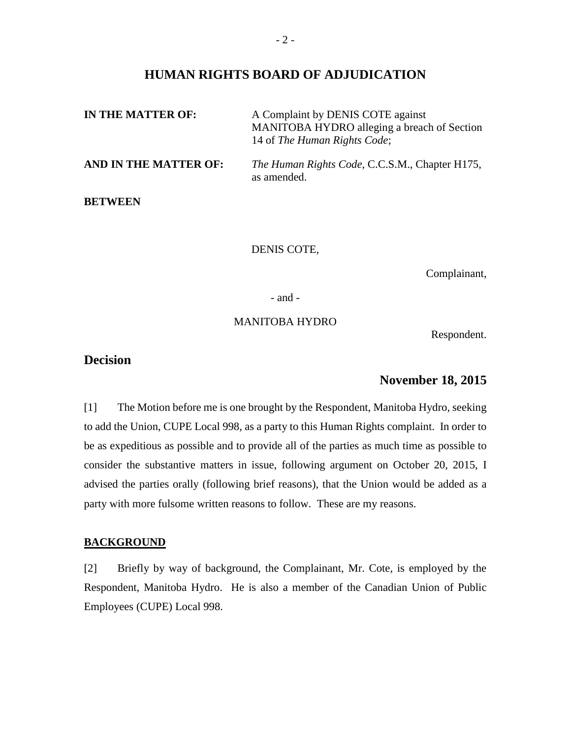### **HUMAN RIGHTS BOARD OF ADJUDICATION**

| IN THE MATTER OF:     | A Complaint by DENIS COTE against<br>MANITOBA HYDRO alleging a breach of Section<br>14 of The Human Rights Code; |
|-----------------------|------------------------------------------------------------------------------------------------------------------|
| AND IN THE MATTER OF: | <i>The Human Rights Code, C.C.S.M., Chapter H175,</i><br>as amended.                                             |
| <b>BETWEEN</b>        |                                                                                                                  |

DENIS COTE,

Complainant,

- and -

#### MANITOBA HYDRO

Respondent.

# **Decision**

## **November 18, 2015**

[1] The Motion before me is one brought by the Respondent, Manitoba Hydro, seeking to add the Union, CUPE Local 998, as a party to this Human Rights complaint. In order to be as expeditious as possible and to provide all of the parties as much time as possible to consider the substantive matters in issue, following argument on October 20, 2015, I advised the parties orally (following brief reasons), that the Union would be added as a party with more fulsome written reasons to follow. These are my reasons.

#### **BACKGROUND**

[2] Briefly by way of background, the Complainant, Mr. Cote, is employed by the Respondent, Manitoba Hydro. He is also a member of the Canadian Union of Public Employees (CUPE) Local 998.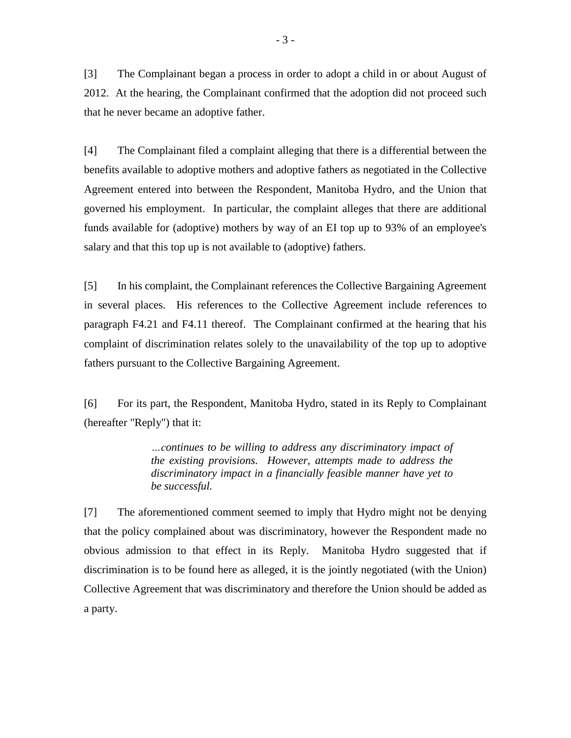[3] The Complainant began a process in order to adopt a child in or about August of 2012. At the hearing, the Complainant confirmed that the adoption did not proceed such that he never became an adoptive father.

[4] The Complainant filed a complaint alleging that there is a differential between the benefits available to adoptive mothers and adoptive fathers as negotiated in the Collective Agreement entered into between the Respondent, Manitoba Hydro, and the Union that governed his employment. In particular, the complaint alleges that there are additional funds available for (adoptive) mothers by way of an EI top up to 93% of an employee's salary and that this top up is not available to (adoptive) fathers.

[5] In his complaint, the Complainant references the Collective Bargaining Agreement in several places. His references to the Collective Agreement include references to paragraph F4.21 and F4.11 thereof. The Complainant confirmed at the hearing that his complaint of discrimination relates solely to the unavailability of the top up to adoptive fathers pursuant to the Collective Bargaining Agreement.

[6] For its part, the Respondent, Manitoba Hydro, stated in its Reply to Complainant (hereafter "Reply") that it:

> *…continues to be willing to address any discriminatory impact of the existing provisions. However, attempts made to address the discriminatory impact in a financially feasible manner have yet to be successful.*

[7] The aforementioned comment seemed to imply that Hydro might not be denying that the policy complained about was discriminatory, however the Respondent made no obvious admission to that effect in its Reply. Manitoba Hydro suggested that if discrimination is to be found here as alleged, it is the jointly negotiated (with the Union) Collective Agreement that was discriminatory and therefore the Union should be added as a party.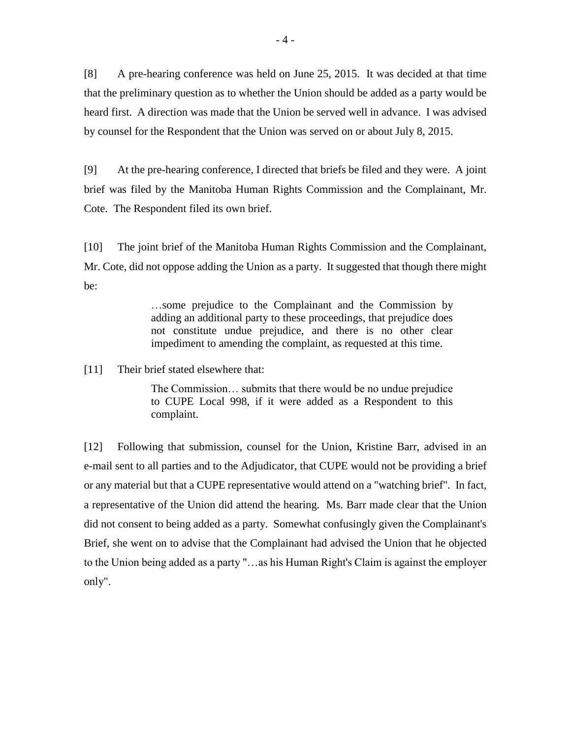[8] A pre-hearing conference was held on June 25, 2015. It was decided at that time that the preliminary question as to whether the Union should be added as a party would be heard first. A direction was made that the Union be served well in advance. I was advised by counsel for the Respondent that the Union was served on or about July 8, 2015.

[9] At the pre-hearing conference, I directed that briefs be filed and they were. A joint brief was filed by the Manitoba Human Rights Commission and the Complainant, Mr. Cote. The Respondent filed its own brief.

[10] The joint brief of the Manitoba Human Rights Commission and the Complainant, Mr. Cote, did not oppose adding the Union as a party. It suggested that though there might be:

> …some prejudice to the Complainant and the Commission by adding an additional party to these proceedings, that prejudice does not constitute undue prejudice, and there is no other clear impediment to amending the complaint, as requested at this time.

[11] Their brief stated elsewhere that:

The Commission… submits that there would be no undue prejudice to CUPE Local 998, if it were added as a Respondent to this complaint.

[12] Following that submission, counsel for the Union, Kristine Barr, advised in an e-mail sent to all parties and to the Adjudicator, that CUPE would not be providing a brief or any material but that a CUPE representative would attend on a "watching brief". In fact, a representative of the Union did attend the hearing. Ms. Barr made clear that the Union did not consent to being added as a party. Somewhat confusingly given the Complainant's Brief, she went on to advise that the Complainant had advised the Union that he objected to the Union being added as a party "…as his Human Right's Claim is against the employer only".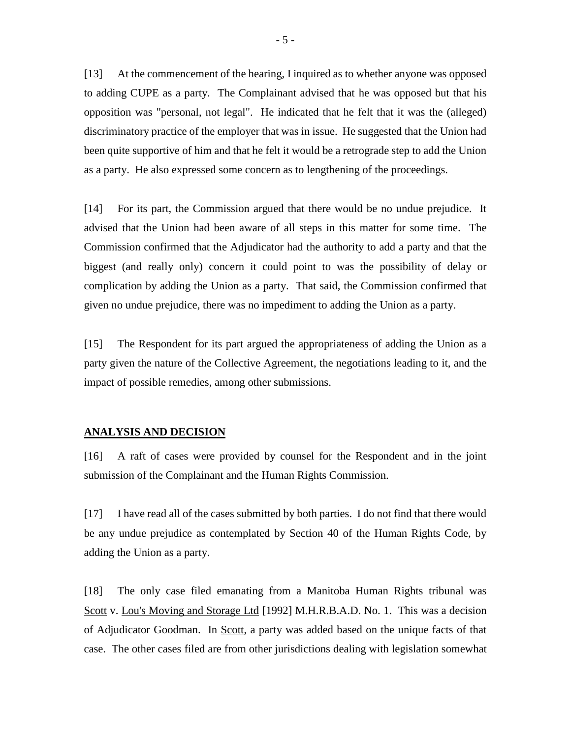[13] At the commencement of the hearing, I inquired as to whether anyone was opposed to adding CUPE as a party. The Complainant advised that he was opposed but that his opposition was "personal, not legal". He indicated that he felt that it was the (alleged) discriminatory practice of the employer that was in issue. He suggested that the Union had been quite supportive of him and that he felt it would be a retrograde step to add the Union as a party. He also expressed some concern as to lengthening of the proceedings.

[14] For its part, the Commission argued that there would be no undue prejudice. It advised that the Union had been aware of all steps in this matter for some time. The Commission confirmed that the Adjudicator had the authority to add a party and that the biggest (and really only) concern it could point to was the possibility of delay or complication by adding the Union as a party. That said, the Commission confirmed that given no undue prejudice, there was no impediment to adding the Union as a party.

[15] The Respondent for its part argued the appropriateness of adding the Union as a party given the nature of the Collective Agreement, the negotiations leading to it, and the impact of possible remedies, among other submissions.

#### **ANALYSIS AND DECISION**

[16] A raft of cases were provided by counsel for the Respondent and in the joint submission of the Complainant and the Human Rights Commission.

[17] I have read all of the cases submitted by both parties. I do not find that there would be any undue prejudice as contemplated by Section 40 of the Human Rights Code, by adding the Union as a party.

[18] The only case filed emanating from a Manitoba Human Rights tribunal was Scott v. Lou's Moving and Storage Ltd [1992] M.H.R.B.A.D. No. 1. This was a decision of Adjudicator Goodman. In Scott, a party was added based on the unique facts of that case. The other cases filed are from other jurisdictions dealing with legislation somewhat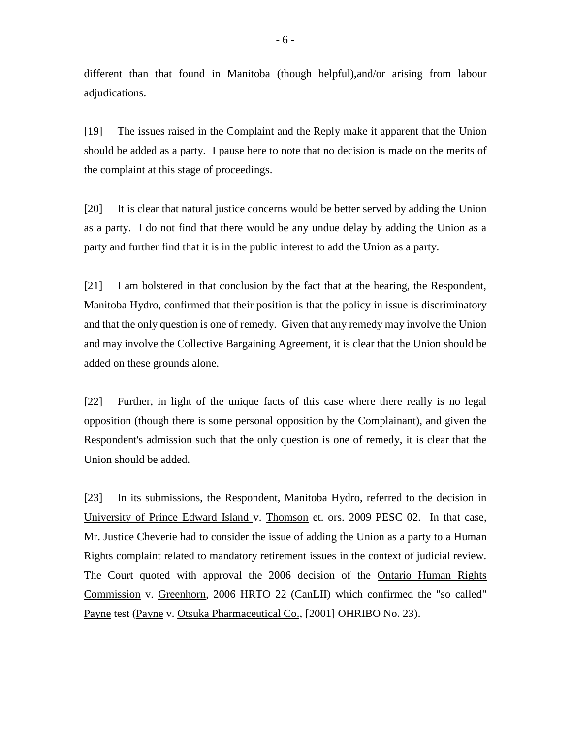different than that found in Manitoba (though helpful),and/or arising from labour adjudications.

[19] The issues raised in the Complaint and the Reply make it apparent that the Union should be added as a party. I pause here to note that no decision is made on the merits of the complaint at this stage of proceedings.

[20] It is clear that natural justice concerns would be better served by adding the Union as a party. I do not find that there would be any undue delay by adding the Union as a party and further find that it is in the public interest to add the Union as a party.

[21] I am bolstered in that conclusion by the fact that at the hearing, the Respondent, Manitoba Hydro, confirmed that their position is that the policy in issue is discriminatory and that the only question is one of remedy. Given that any remedy may involve the Union and may involve the Collective Bargaining Agreement, it is clear that the Union should be added on these grounds alone.

[22] Further, in light of the unique facts of this case where there really is no legal opposition (though there is some personal opposition by the Complainant), and given the Respondent's admission such that the only question is one of remedy, it is clear that the Union should be added.

[23] In its submissions, the Respondent, Manitoba Hydro, referred to the decision in University of Prince Edward Island v. Thomson et. ors. 2009 PESC 02. In that case, Mr. Justice Cheverie had to consider the issue of adding the Union as a party to a Human Rights complaint related to mandatory retirement issues in the context of judicial review. The Court quoted with approval the 2006 decision of the Ontario Human Rights Commission v. Greenhorn, 2006 HRTO 22 (CanLII) which confirmed the "so called" Payne test (Payne v. Otsuka Pharmaceutical Co., [2001] OHRIBO No. 23).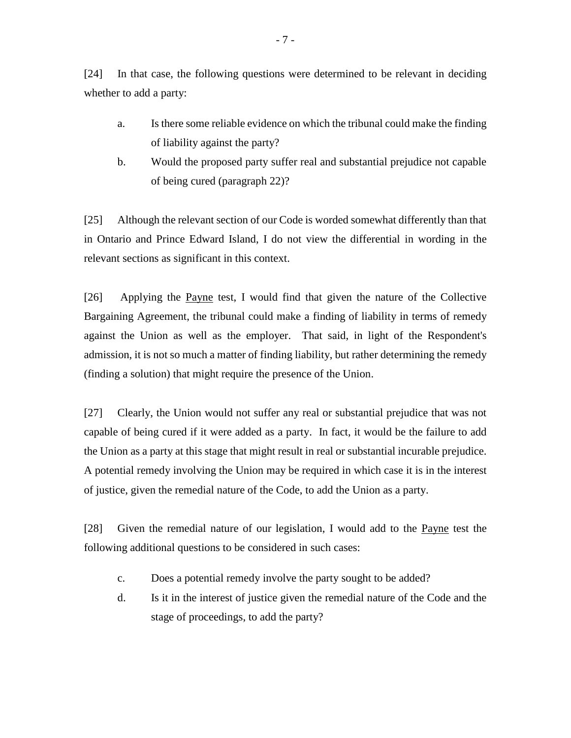[24] In that case, the following questions were determined to be relevant in deciding whether to add a party:

- a. Is there some reliable evidence on which the tribunal could make the finding of liability against the party?
- b. Would the proposed party suffer real and substantial prejudice not capable of being cured (paragraph 22)?

[25] Although the relevant section of our Code is worded somewhat differently than that in Ontario and Prince Edward Island, I do not view the differential in wording in the relevant sections as significant in this context.

[26] Applying the Payne test, I would find that given the nature of the Collective Bargaining Agreement, the tribunal could make a finding of liability in terms of remedy against the Union as well as the employer. That said, in light of the Respondent's admission, it is not so much a matter of finding liability, but rather determining the remedy (finding a solution) that might require the presence of the Union.

[27] Clearly, the Union would not suffer any real or substantial prejudice that was not capable of being cured if it were added as a party. In fact, it would be the failure to add the Union as a party at this stage that might result in real or substantial incurable prejudice. A potential remedy involving the Union may be required in which case it is in the interest of justice, given the remedial nature of the Code, to add the Union as a party.

[28] Given the remedial nature of our legislation, I would add to the Payne test the following additional questions to be considered in such cases:

- c. Does a potential remedy involve the party sought to be added?
- d. Is it in the interest of justice given the remedial nature of the Code and the stage of proceedings, to add the party?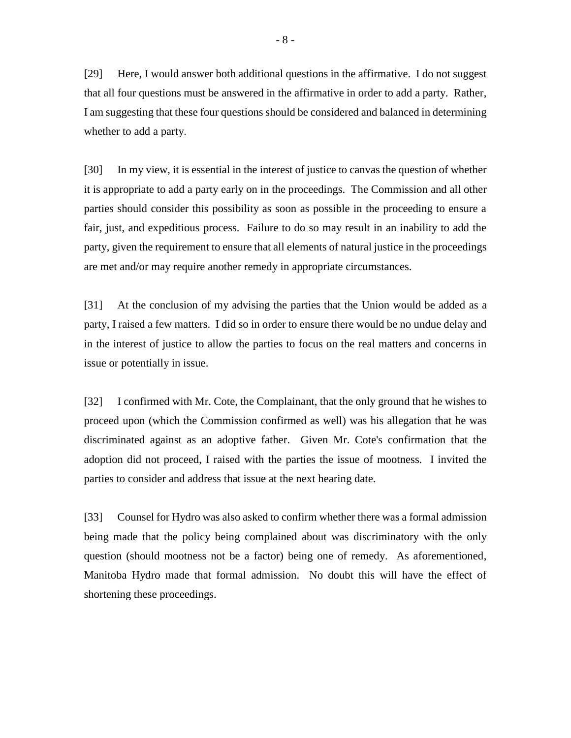[29] Here, I would answer both additional questions in the affirmative. I do not suggest that all four questions must be answered in the affirmative in order to add a party. Rather, I am suggesting that these four questions should be considered and balanced in determining whether to add a party.

[30] In my view, it is essential in the interest of justice to canvas the question of whether it is appropriate to add a party early on in the proceedings. The Commission and all other parties should consider this possibility as soon as possible in the proceeding to ensure a fair, just, and expeditious process. Failure to do so may result in an inability to add the party, given the requirement to ensure that all elements of natural justice in the proceedings are met and/or may require another remedy in appropriate circumstances.

[31] At the conclusion of my advising the parties that the Union would be added as a party, I raised a few matters. I did so in order to ensure there would be no undue delay and in the interest of justice to allow the parties to focus on the real matters and concerns in issue or potentially in issue.

[32] I confirmed with Mr. Cote, the Complainant, that the only ground that he wishes to proceed upon (which the Commission confirmed as well) was his allegation that he was discriminated against as an adoptive father. Given Mr. Cote's confirmation that the adoption did not proceed, I raised with the parties the issue of mootness. I invited the parties to consider and address that issue at the next hearing date.

[33] Counsel for Hydro was also asked to confirm whether there was a formal admission being made that the policy being complained about was discriminatory with the only question (should mootness not be a factor) being one of remedy. As aforementioned, Manitoba Hydro made that formal admission. No doubt this will have the effect of shortening these proceedings.